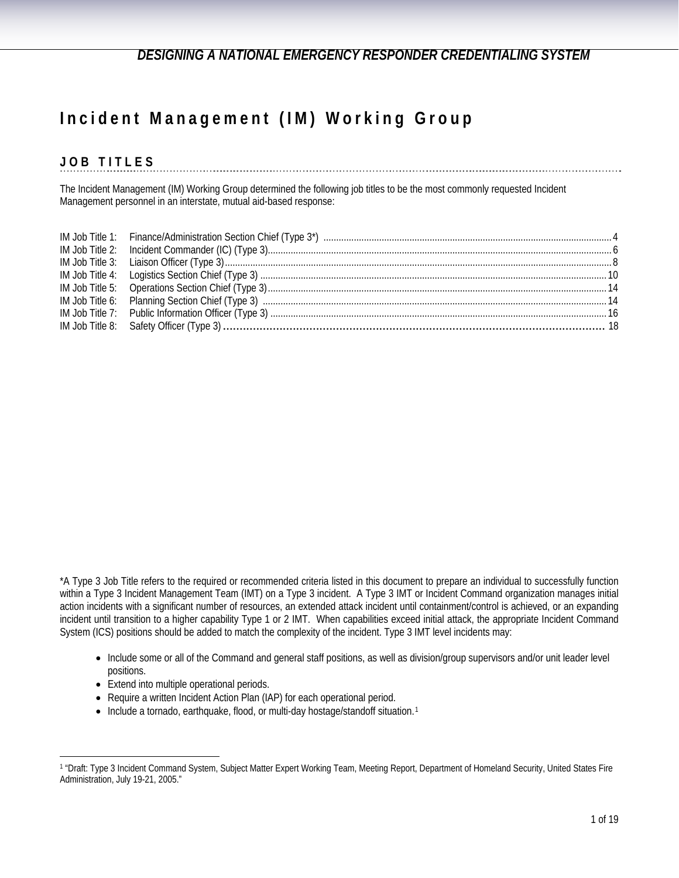# **Incident Management (IM) Working Group**

# **JOB TITLES**

The Incident Management (IM) Working Group determined the following job titles to be the most commonly requested Incident Management personnel in an interstate, mutual aid-based response:

\*A Type 3 Job Title refers to the required or recommended criteria listed in this document to prepare an individual to successfully function within a Type 3 Incident Management Team (IMT) on a Type 3 incident. A Type 3 IMT or Incident Command organization manages initial action incidents with a significant number of resources, an extended attack incident until containment/control is achieved, or an expanding incident until transition to a higher capability Type 1 or 2 IMT. When capabilities exceed initial attack, the appropriate Incident Command System (ICS) positions should be added to match the complexity of the incident. Type 3 IMT level incidents may:

- Include some or all of the Command and general staff positions, as well as division/group supervisors and/or unit leader level positions.
- Extend into multiple operational periods.

- Require a written Incident Action Plan (IAP) for each operational period.
- Include a tornado, earthquake, flood, or multi-day hostage/standoff situation.<sup>1</sup>

<span id="page-0-0"></span><sup>1 &</sup>quot;Draft: Type 3 Incident Command System, Subject Matter Expert Working Team, Meeting Report, Department of Homeland Security, United States Fire Administration, July 19-21, 2005."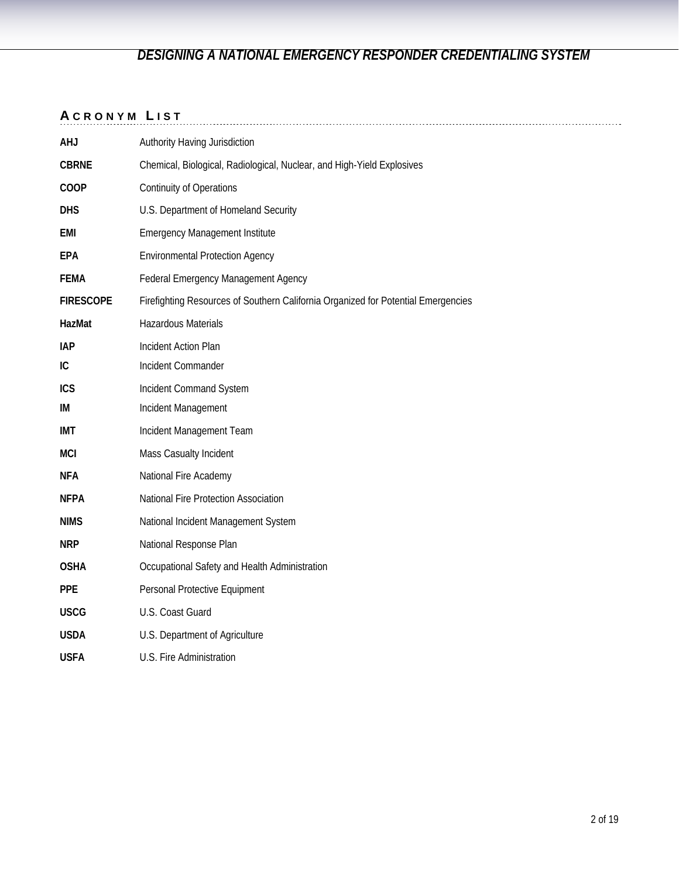## **A CRONYM L IST**

|                  | .                                                                                 |
|------------------|-----------------------------------------------------------------------------------|
| <b>AHJ</b>       | Authority Having Jurisdiction                                                     |
| <b>CBRNE</b>     | Chemical, Biological, Radiological, Nuclear, and High-Yield Explosives            |
| COOP             | <b>Continuity of Operations</b>                                                   |
| <b>DHS</b>       | U.S. Department of Homeland Security                                              |
| <b>EMI</b>       | <b>Emergency Management Institute</b>                                             |
| EPA              | <b>Environmental Protection Agency</b>                                            |
| <b>FEMA</b>      | Federal Emergency Management Agency                                               |
| <b>FIRESCOPE</b> | Firefighting Resources of Southern California Organized for Potential Emergencies |
| HazMat           | Hazardous Materials                                                               |
| <b>IAP</b>       | Incident Action Plan                                                              |
| IC.              | Incident Commander                                                                |
| <b>ICS</b>       | Incident Command System                                                           |
| IM               | Incident Management                                                               |
| <b>IMT</b>       | Incident Management Team                                                          |
| <b>MCI</b>       | Mass Casualty Incident                                                            |
| <b>NFA</b>       | National Fire Academy                                                             |
| <b>NFPA</b>      | National Fire Protection Association                                              |
| <b>NIMS</b>      | National Incident Management System                                               |
| <b>NRP</b>       | National Response Plan                                                            |
| <b>OSHA</b>      | Occupational Safety and Health Administration                                     |
| <b>PPE</b>       | Personal Protective Equipment                                                     |
| <b>USCG</b>      | U.S. Coast Guard                                                                  |
| <b>USDA</b>      | U.S. Department of Agriculture                                                    |
| <b>USFA</b>      | U.S. Fire Administration                                                          |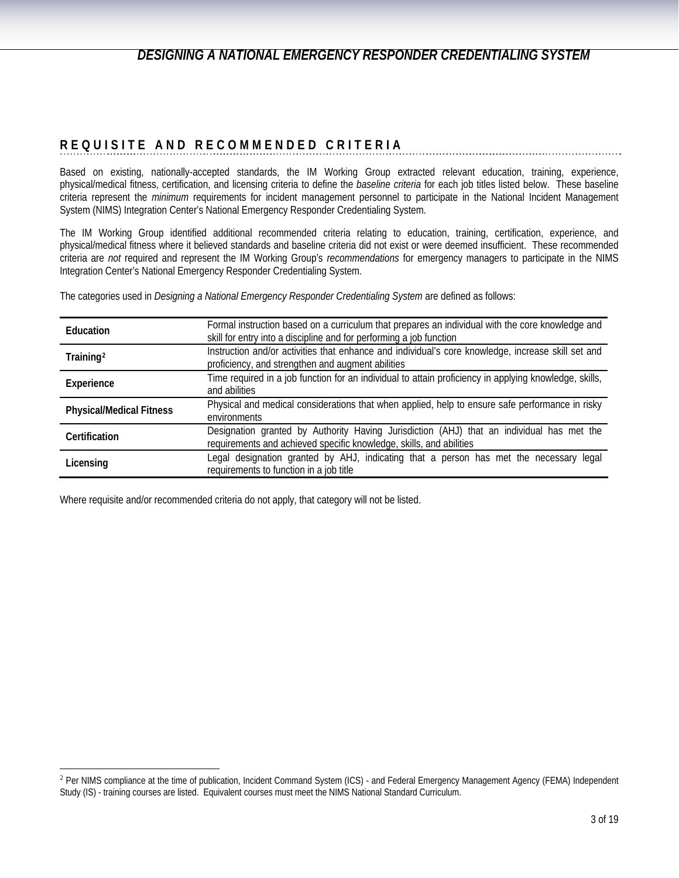## **REQUISITE AND RECOMMENDED CRITERIA**

Based on existing, nationally-accepted standards, the IM Working Group extracted relevant education, training, experience, physical/medical fitness, certification, and licensing criteria to define the *baseline criteria* for each job titles listed below. These baseline criteria represent the *minimum* requirements for incident management personnel to participate in the National Incident Management System (NIMS) Integration Center's National Emergency Responder Credentialing System.

The IM Working Group identified additional recommended criteria relating to education, training, certification, experience, and physical/medical fitness where it believed standards and baseline criteria did not exist or were deemed insufficient. These recommended criteria are *not* required and represent the IM Working Group's *recommendations* for emergency managers to participate in the NIMS Integration Center's National Emergency Responder Credentialing System.

The categories used in *Designing a National Emergency Responder Credentialing System* are defined as follows:

| <b>Education</b>                | Formal instruction based on a curriculum that prepares an individual with the core knowledge and<br>skill for entry into a discipline and for performing a job function |
|---------------------------------|-------------------------------------------------------------------------------------------------------------------------------------------------------------------------|
| Training <sup>2</sup>           | Instruction and/or activities that enhance and individual's core knowledge, increase skill set and<br>proficiency, and strengthen and augment abilities                 |
| Experience                      | Time required in a job function for an individual to attain proficiency in applying knowledge, skills,<br>and abilities                                                 |
| <b>Physical/Medical Fitness</b> | Physical and medical considerations that when applied, help to ensure safe performance in risky<br>environments                                                         |
| Certification                   | Designation granted by Authority Having Jurisdiction (AHJ) that an individual has met the<br>requirements and achieved specific knowledge, skills, and abilities        |
| Licensing                       | Legal designation granted by AHJ, indicating that a person has met the necessary legal<br>requirements to function in a job title                                       |

Where requisite and/or recommended criteria do not apply, that category will not be listed.

<span id="page-2-0"></span><sup>&</sup>lt;sup>2</sup> Per NIMS compliance at the time of publication, Incident Command System (ICS) - and Federal Emergency Management Agency (FEMA) Independent Study (IS) - training courses are listed. Equivalent courses must meet the NIMS National Standard Curriculum.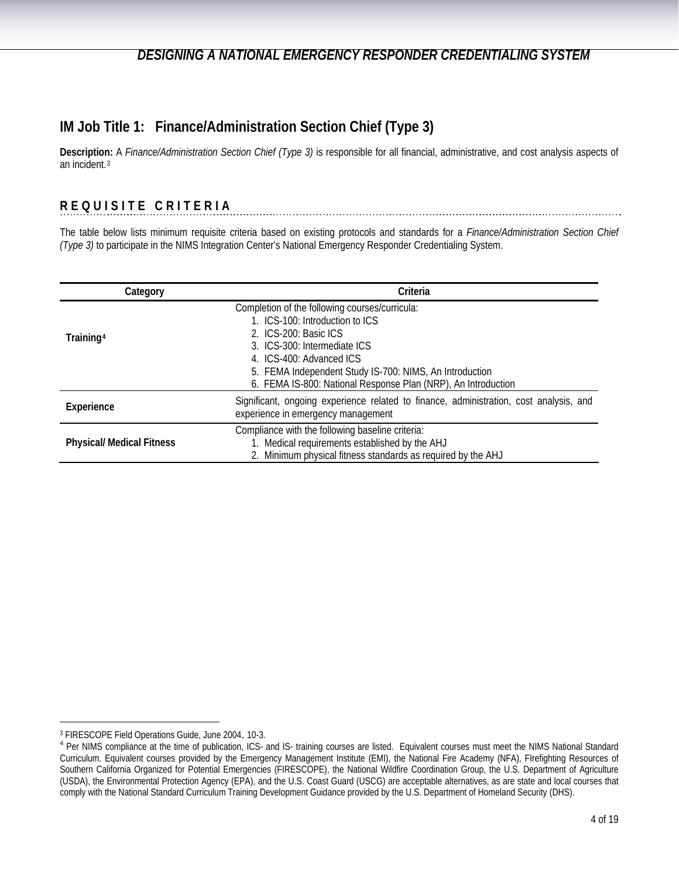# <span id="page-3-0"></span>**IM Job Title 1: Finance/Administration Section Chief (Type 3)**

**Description:** A *Finance/Administration Section Chief (Type 3)* is responsible for all financial, administrative, and cost analysis aspects of an incident.[3](#page-3-1)

## **REQUISITE CRITERIA**

The table below lists minimum requisite criteria based on existing protocols and standards for a *Finance/Administration Section Chief (Type 3)* to participate in the NIMS Integration Center's National Emergency Responder Credentialing System.

| Category                         | Criteria                                                                                                                                                                                                                                                                                           |
|----------------------------------|----------------------------------------------------------------------------------------------------------------------------------------------------------------------------------------------------------------------------------------------------------------------------------------------------|
| Training <sup>4</sup>            | Completion of the following courses/curricula:<br>1. ICS-100: Introduction to ICS<br>2. ICS-200: Basic ICS<br>3. ICS-300: Intermediate ICS<br>4. ICS-400: Advanced ICS<br>5. FEMA Independent Study IS-700: NIMS, An Introduction<br>6. FEMA IS-800: National Response Plan (NRP), An Introduction |
| Experience                       | Significant, ongoing experience related to finance, administration, cost analysis, and<br>experience in emergency management                                                                                                                                                                       |
| <b>Physical/ Medical Fitness</b> | Compliance with the following baseline criteria:<br>1. Medical requirements established by the AHJ<br>2. Minimum physical fitness standards as required by the AHJ                                                                                                                                 |

<span id="page-3-1"></span>

<span id="page-3-2"></span><sup>&</sup>lt;sup>3</sup> FIRESCOPE Field Operations Guide, June 2004. 10-3.<br><sup>4</sup> Per NIMS compliance at the time of publication, ICS- and IS- training courses are listed. Equivalent courses must meet the NIMS National Standard Curriculum. Equivalent courses provided by the Emergency Management Institute (EMI), the National Fire Academy (NFA), FIrefighting Resources of Southern California Organized for Potential Emergencies (FIRESCOPE), the National Wildfire Coordination Group, the U.S. Department of Agriculture (USDA), the Environmental Protection Agency (EPA), and the U.S. Coast Guard (USCG) are acceptable alternatives, as are state and local courses that comply with the National Standard Curriculum Training Development Guidance provided by the U.S. Department of Homeland Security (DHS).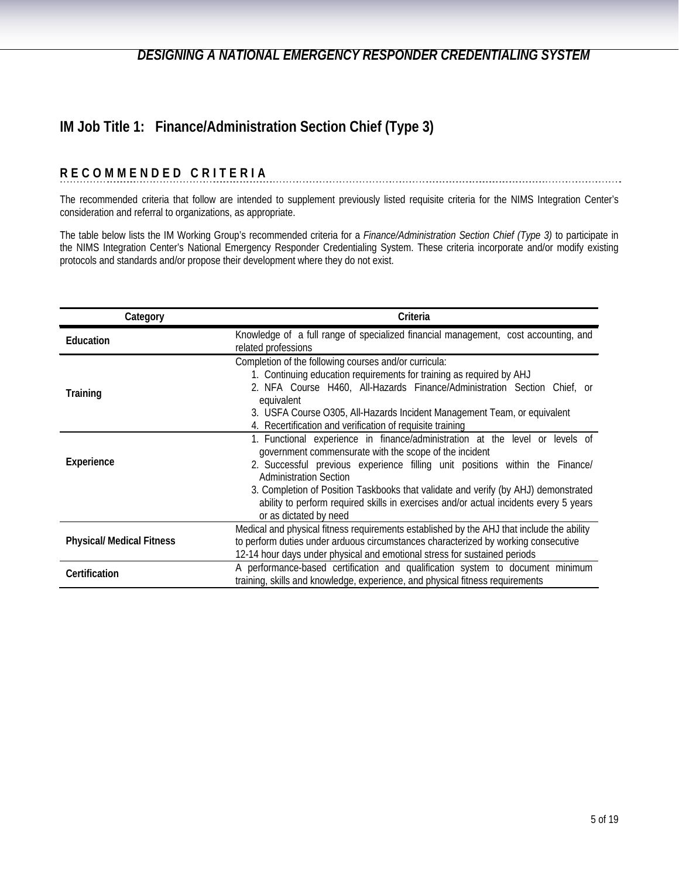# **IM Job Title 1: Finance/Administration Section Chief (Type 3)**

#### **RECOMMENDED CRITERIA**

The recommended criteria that follow are intended to supplement previously listed requisite criteria for the NIMS Integration Center's consideration and referral to organizations, as appropriate.

The table below lists the IM Working Group's recommended criteria for a *Finance/Administration Section Chief (Type 3)* to participate in the NIMS Integration Center's National Emergency Responder Credentialing System. These criteria incorporate and/or modify existing protocols and standards and/or propose their development where they do not exist.

| Category                         | Criteria                                                                                                                                                                                                                                                                                                                                                                                                                                                         |
|----------------------------------|------------------------------------------------------------------------------------------------------------------------------------------------------------------------------------------------------------------------------------------------------------------------------------------------------------------------------------------------------------------------------------------------------------------------------------------------------------------|
| Education                        | Knowledge of a full range of specialized financial management, cost accounting, and<br>related professions                                                                                                                                                                                                                                                                                                                                                       |
| <b>Training</b>                  | Completion of the following courses and/or curricula:<br>1. Continuing education requirements for training as required by AHJ<br>2. NFA Course H460, All-Hazards Finance/Administration Section Chief, or<br>equivalent<br>3. USFA Course O305, All-Hazards Incident Management Team, or equivalent<br>4. Recertification and verification of requisite training                                                                                                 |
| Experience                       | 1. Functional experience in finance/administration at the level or levels of<br>government commensurate with the scope of the incident<br>2. Successful previous experience filling unit positions within the Finance/<br><b>Administration Section</b><br>3. Completion of Position Taskbooks that validate and verify (by AHJ) demonstrated<br>ability to perform required skills in exercises and/or actual incidents every 5 years<br>or as dictated by need |
| <b>Physical/ Medical Fitness</b> | Medical and physical fitness requirements established by the AHJ that include the ability<br>to perform duties under arduous circumstances characterized by working consecutive<br>12-14 hour days under physical and emotional stress for sustained periods                                                                                                                                                                                                     |
| Certification                    | A performance-based certification and qualification system to document minimum<br>training, skills and knowledge, experience, and physical fitness requirements                                                                                                                                                                                                                                                                                                  |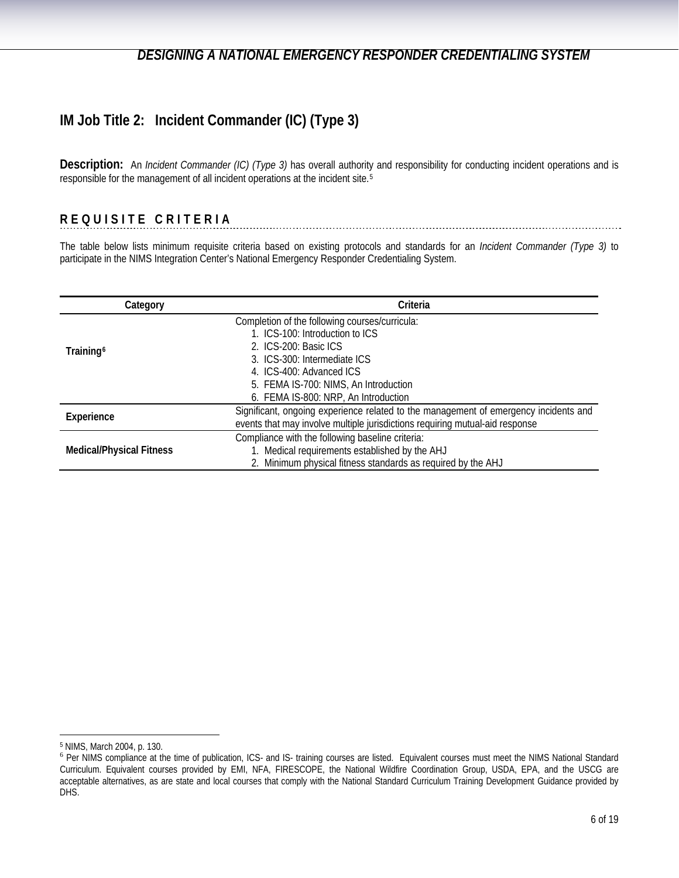# <span id="page-5-0"></span>**IM Job Title 2: Incident Commander (IC) (Type 3)**

**Description:** An *Incident Commander (IC) (Type 3)* has overall authority and responsibility for conducting incident operations and is responsible for the management of all incident operations at the incident site.[5](#page-5-1)

## **REQUISITE CRITERIA**

The table below lists minimum requisite criteria based on existing protocols and standards for an *Incident Commander (Type 3)* to participate in the NIMS Integration Center's National Emergency Responder Credentialing System.

| Category                        | Criteria                                                                             |
|---------------------------------|--------------------------------------------------------------------------------------|
|                                 | Completion of the following courses/curricula:                                       |
|                                 | 1. ICS-100: Introduction to ICS                                                      |
| Training <sup>6</sup>           | 2. ICS-200: Basic ICS                                                                |
|                                 | 3. ICS-300: Intermediate ICS                                                         |
|                                 | 4. ICS-400: Advanced ICS                                                             |
|                                 | 5. FEMA IS-700: NIMS, An Introduction                                                |
|                                 | 6. FEMA IS-800: NRP, An Introduction                                                 |
| Experience                      | Significant, ongoing experience related to the management of emergency incidents and |
|                                 | events that may involve multiple jurisdictions requiring mutual-aid response         |
|                                 | Compliance with the following baseline criteria:                                     |
| <b>Medical/Physical Fitness</b> | 1. Medical requirements established by the AHJ                                       |
|                                 | 2. Minimum physical fitness standards as required by the AHJ                         |

<span id="page-5-1"></span><sup>5</sup> NIMS, March 2004, p. 130.

<span id="page-5-2"></span><sup>&</sup>lt;sup>6</sup> Per NIMS compliance at the time of publication, ICS- and IS- training courses are listed. Equivalent courses must meet the NIMS National Standard Curriculum. Equivalent courses provided by EMI, NFA, FIRESCOPE, the National Wildfire Coordination Group, USDA, EPA, and the USCG are acceptable alternatives, as are state and local courses that comply with the National Standard Curriculum Training Development Guidance provided by DHS.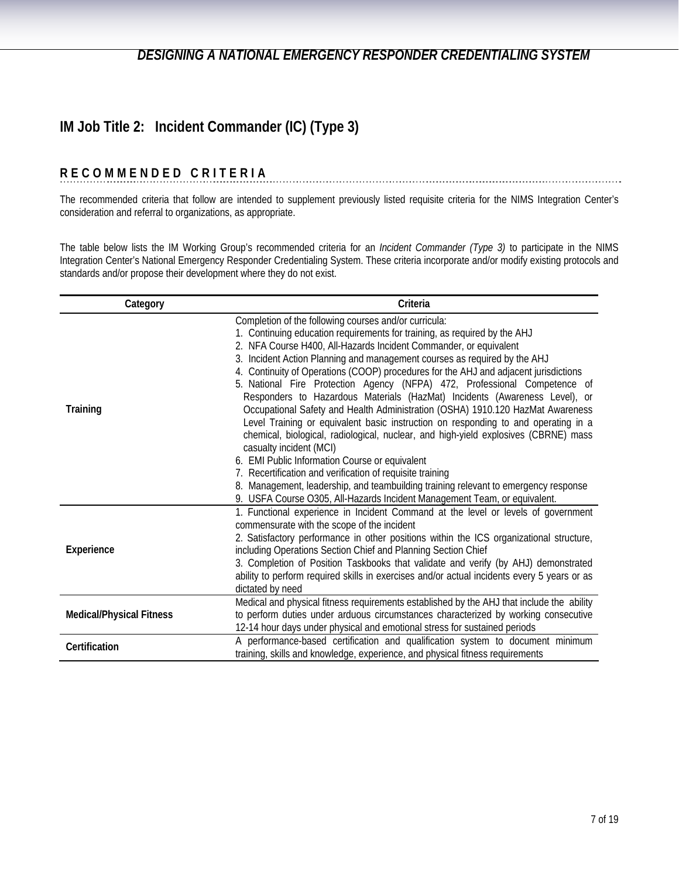# **IM Job Title 2: Incident Commander (IC) (Type 3)**

#### **RECOMMENDED CRITERIA**

The recommended criteria that follow are intended to supplement previously listed requisite criteria for the NIMS Integration Center's consideration and referral to organizations, as appropriate.

The table below lists the IM Working Group's recommended criteria for an *Incident Commander (Type 3)* to participate in the NIMS Integration Center's National Emergency Responder Credentialing System. These criteria incorporate and/or modify existing protocols and standards and/or propose their development where they do not exist.

| Category                        | Criteria                                                                                                                                                                                                                                                                                                                                                                                                                                                                                                                                                                                                                                                                                                                                                                                                                                                                                                                                                                                                                                                                                                             |
|---------------------------------|----------------------------------------------------------------------------------------------------------------------------------------------------------------------------------------------------------------------------------------------------------------------------------------------------------------------------------------------------------------------------------------------------------------------------------------------------------------------------------------------------------------------------------------------------------------------------------------------------------------------------------------------------------------------------------------------------------------------------------------------------------------------------------------------------------------------------------------------------------------------------------------------------------------------------------------------------------------------------------------------------------------------------------------------------------------------------------------------------------------------|
| Training                        | Completion of the following courses and/or curricula:<br>1. Continuing education requirements for training, as required by the AHJ<br>2. NFA Course H400, All-Hazards Incident Commander, or equivalent<br>3. Incident Action Planning and management courses as required by the AHJ<br>4. Continuity of Operations (COOP) procedures for the AHJ and adjacent jurisdictions<br>5. National Fire Protection Agency (NFPA) 472, Professional Competence of<br>Responders to Hazardous Materials (HazMat) Incidents (Awareness Level), or<br>Occupational Safety and Health Administration (OSHA) 1910.120 HazMat Awareness<br>Level Training or equivalent basic instruction on responding to and operating in a<br>chemical, biological, radiological, nuclear, and high-yield explosives (CBRNE) mass<br>casualty incident (MCI)<br>6. EMI Public Information Course or equivalent<br>7. Recertification and verification of requisite training<br>8. Management, leadership, and teambuilding training relevant to emergency response<br>9. USFA Course O305, All-Hazards Incident Management Team, or equivalent. |
| Experience                      | 1. Functional experience in Incident Command at the level or levels of government<br>commensurate with the scope of the incident<br>2. Satisfactory performance in other positions within the ICS organizational structure,<br>including Operations Section Chief and Planning Section Chief<br>3. Completion of Position Taskbooks that validate and verify (by AHJ) demonstrated<br>ability to perform required skills in exercises and/or actual incidents every 5 years or as<br>dictated by need                                                                                                                                                                                                                                                                                                                                                                                                                                                                                                                                                                                                                |
| <b>Medical/Physical Fitness</b> | Medical and physical fitness requirements established by the AHJ that include the ability<br>to perform duties under arduous circumstances characterized by working consecutive<br>12-14 hour days under physical and emotional stress for sustained periods                                                                                                                                                                                                                                                                                                                                                                                                                                                                                                                                                                                                                                                                                                                                                                                                                                                         |
| Certification                   | A performance-based certification and qualification system to document minimum<br>training, skills and knowledge, experience, and physical fitness requirements                                                                                                                                                                                                                                                                                                                                                                                                                                                                                                                                                                                                                                                                                                                                                                                                                                                                                                                                                      |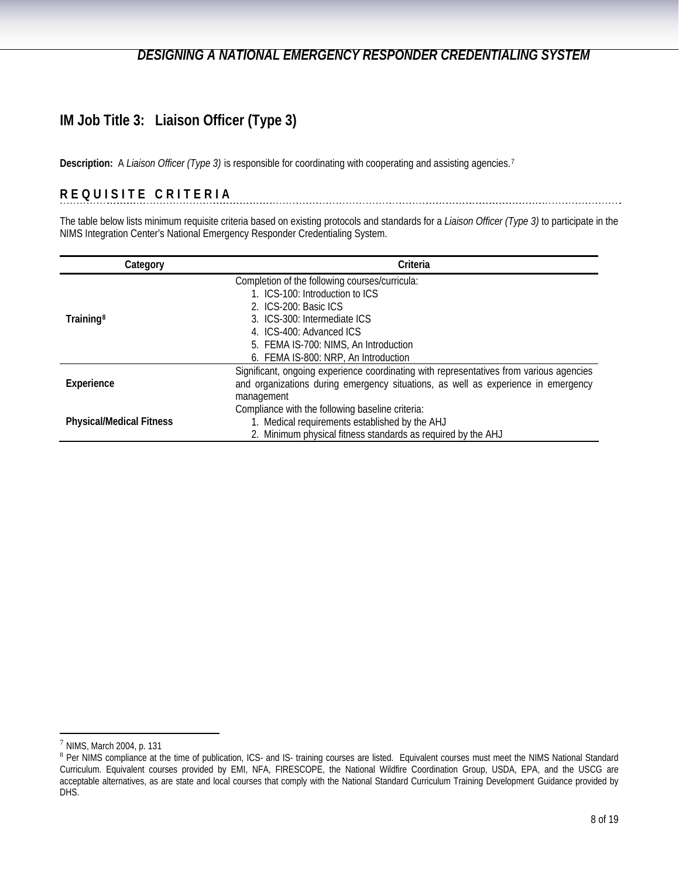# **IM Job Title 3: Liaison Officer (Type 3)**

**Description:** A *Liaison Officer (Type 3)* is responsible for coordinating with cooperating and assisting agencies.[7](#page-7-0)

# **REQUISITE CRITERIA**

The table below lists minimum requisite criteria based on existing protocols and standards for a *Liaison Officer (Type 3)* to participate in the NIMS Integration Center's National Emergency Responder Credentialing System.

| Category                        | Criteria                                                                                |
|---------------------------------|-----------------------------------------------------------------------------------------|
|                                 | Completion of the following courses/curricula:                                          |
|                                 | 1. ICS-100: Introduction to ICS                                                         |
|                                 | 2. ICS-200: Basic ICS                                                                   |
| Training <sup>8</sup>           | 3. ICS-300: Intermediate ICS                                                            |
|                                 | 4. ICS-400: Advanced ICS                                                                |
|                                 | 5. FEMA IS-700: NIMS, An Introduction                                                   |
|                                 | 6. FEMA IS-800: NRP, An Introduction                                                    |
|                                 | Significant, ongoing experience coordinating with representatives from various agencies |
| Experience                      | and organizations during emergency situations, as well as experience in emergency       |
|                                 | management                                                                              |
|                                 | Compliance with the following baseline criteria:                                        |
| <b>Physical/Medical Fitness</b> | 1. Medical requirements established by the AHJ                                          |
|                                 | 2. Minimum physical fitness standards as required by the AHJ                            |

<span id="page-7-0"></span> $7$  NIMS, March 2004, p. 131

<span id="page-7-1"></span><sup>8</sup> Per NIMS compliance at the time of publication, ICS- and IS- training courses are listed. Equivalent courses must meet the NIMS National Standard Curriculum. Equivalent courses provided by EMI, NFA, FIRESCOPE, the National Wildfire Coordination Group, USDA, EPA, and the USCG are acceptable alternatives, as are state and local courses that comply with the National Standard Curriculum Training Development Guidance provided by DHS.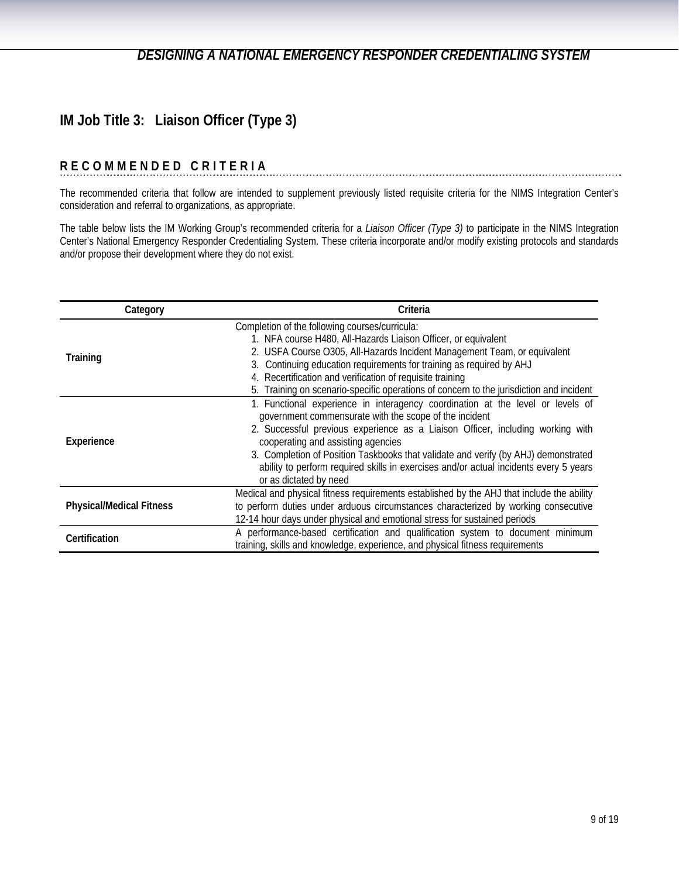# **IM Job Title 3: Liaison Officer (Type 3)**

## **RECOMMENDED CRITERIA**

The recommended criteria that follow are intended to supplement previously listed requisite criteria for the NIMS Integration Center's consideration and referral to organizations, as appropriate.

The table below lists the IM Working Group's recommended criteria for a *Liaison Officer (Type 3)* to participate in the NIMS Integration Center's National Emergency Responder Credentialing System. These criteria incorporate and/or modify existing protocols and standards and/or propose their development where they do not exist.

| Category                        | Criteria                                                                                                                                                                                                                                                                                                                                                                                                                                                                  |
|---------------------------------|---------------------------------------------------------------------------------------------------------------------------------------------------------------------------------------------------------------------------------------------------------------------------------------------------------------------------------------------------------------------------------------------------------------------------------------------------------------------------|
| Training                        | Completion of the following courses/curricula:<br>1. NFA course H480, All-Hazards Liaison Officer, or equivalent<br>2. USFA Course O305, All-Hazards Incident Management Team, or equivalent<br>3. Continuing education requirements for training as required by AHJ<br>4. Recertification and verification of requisite training<br>5. Training on scenario-specific operations of concern to the jurisdiction and incident                                              |
| Experience                      | 1. Functional experience in interagency coordination at the level or levels of<br>government commensurate with the scope of the incident<br>2. Successful previous experience as a Liaison Officer, including working with<br>cooperating and assisting agencies<br>3. Completion of Position Taskbooks that validate and verify (by AHJ) demonstrated<br>ability to perform required skills in exercises and/or actual incidents every 5 years<br>or as dictated by need |
| <b>Physical/Medical Fitness</b> | Medical and physical fitness requirements established by the AHJ that include the ability<br>to perform duties under arduous circumstances characterized by working consecutive<br>12-14 hour days under physical and emotional stress for sustained periods                                                                                                                                                                                                              |
| Certification                   | A performance-based certification and qualification system to document minimum<br>training, skills and knowledge, experience, and physical fitness requirements                                                                                                                                                                                                                                                                                                           |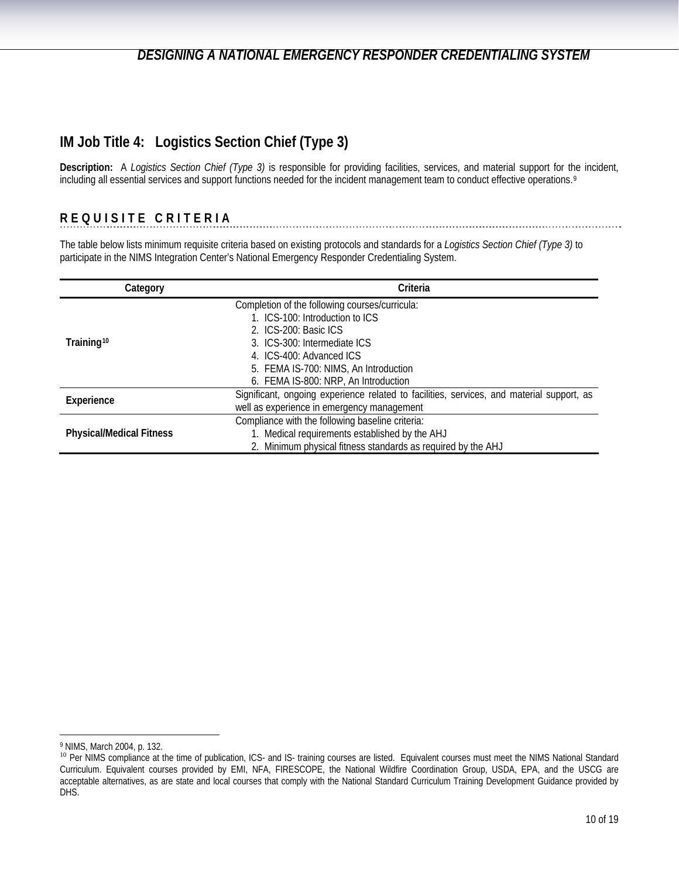# <span id="page-9-0"></span>**IM Job Title 4: Logistics Section Chief (Type 3)**

**Description:** A *Logistics Section Chief (Type 3)* is responsible for providing facilities, services, and material support for the incident, including all essential services and support functions needed for the incident management team to conduct effective operations.<sup>[9](#page-9-1)</sup>

## **REQUISITE CRITERIA**

The table below lists minimum requisite criteria based on existing protocols and standards for a *Logistics Section Chief (Type 3)* to participate in the NIMS Integration Center's National Emergency Responder Credentialing System.

| Category                        | Criteria                                                                                  |
|---------------------------------|-------------------------------------------------------------------------------------------|
|                                 | Completion of the following courses/curricula:                                            |
|                                 | 1. ICS-100: Introduction to ICS                                                           |
|                                 | 2. ICS-200: Basic ICS                                                                     |
| Training <sup>10</sup>          | 3. ICS-300: Intermediate ICS                                                              |
|                                 | 4. ICS-400: Advanced ICS                                                                  |
|                                 | 5. FEMA IS-700: NIMS, An Introduction                                                     |
|                                 | 6. FEMA IS-800: NRP, An Introduction                                                      |
| Experience                      | Significant, ongoing experience related to facilities, services, and material support, as |
|                                 | well as experience in emergency management                                                |
|                                 | Compliance with the following baseline criteria:                                          |
| <b>Physical/Medical Fitness</b> | 1. Medical requirements established by the AHJ                                            |
|                                 | 2. Minimum physical fitness standards as required by the AHJ                              |

<span id="page-9-1"></span><sup>9</sup> NIMS, March 2004, p. 132.

<span id="page-9-2"></span><sup>&</sup>lt;sup>10</sup> Per NIMS compliance at the time of publication, ICS- and IS- training courses are listed. Equivalent courses must meet the NIMS National Standard Curriculum. Equivalent courses provided by EMI, NFA, FIRESCOPE, the National Wildfire Coordination Group, USDA, EPA, and the USCG are acceptable alternatives, as are state and local courses that comply with the National Standard Curriculum Training Development Guidance provided by DHS.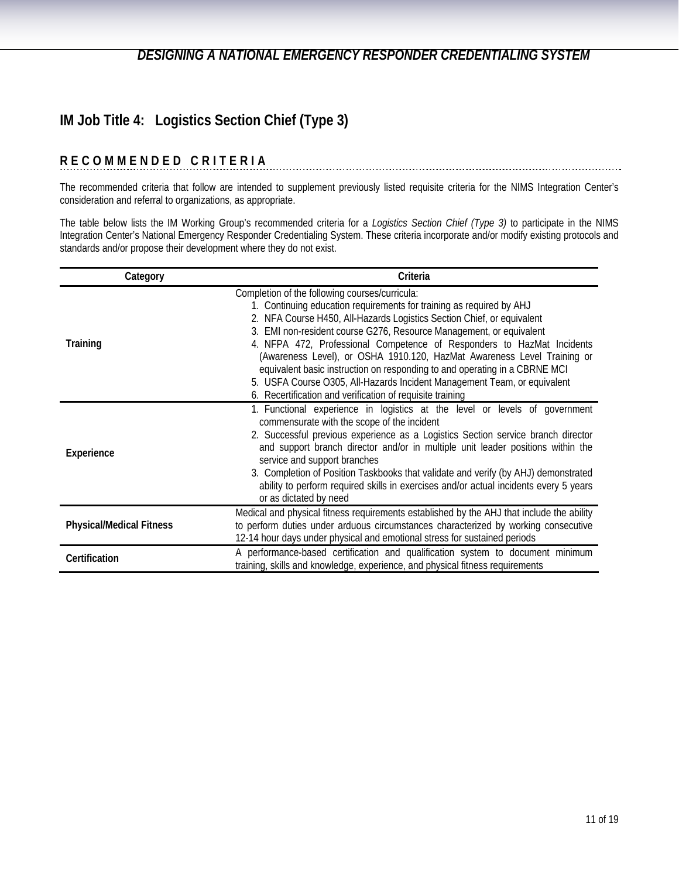# **IM Job Title 4: Logistics Section Chief (Type 3)**

## **RECOMMENDED CRITERIA**

The recommended criteria that follow are intended to supplement previously listed requisite criteria for the NIMS Integration Center's consideration and referral to organizations, as appropriate.

The table below lists the IM Working Group's recommended criteria for a *Logistics Section Chief (Type 3)* to participate in the NIMS Integration Center's National Emergency Responder Credentialing System. These criteria incorporate and/or modify existing protocols and standards and/or propose their development where they do not exist.

| Category                        | Criteria                                                                                                                                                                                                                                                                                                                                                                                                                                                                                                                                                                                                                                            |
|---------------------------------|-----------------------------------------------------------------------------------------------------------------------------------------------------------------------------------------------------------------------------------------------------------------------------------------------------------------------------------------------------------------------------------------------------------------------------------------------------------------------------------------------------------------------------------------------------------------------------------------------------------------------------------------------------|
| Training                        | Completion of the following courses/curricula:<br>1. Continuing education requirements for training as required by AHJ<br>2. NFA Course H450, All-Hazards Logistics Section Chief, or equivalent<br>3. EMI non-resident course G276, Resource Management, or equivalent<br>4. NFPA 472, Professional Competence of Responders to HazMat Incidents<br>(Awareness Level), or OSHA 1910.120, HazMat Awareness Level Training or<br>equivalent basic instruction on responding to and operating in a CBRNE MCI<br>5. USFA Course O305, All-Hazards Incident Management Team, or equivalent<br>6. Recertification and verification of requisite training |
| Experience                      | 1. Functional experience in logistics at the level or levels of government<br>commensurate with the scope of the incident<br>2. Successful previous experience as a Logistics Section service branch director<br>and support branch director and/or in multiple unit leader positions within the<br>service and support branches<br>3. Completion of Position Taskbooks that validate and verify (by AHJ) demonstrated<br>ability to perform required skills in exercises and/or actual incidents every 5 years<br>or as dictated by need                                                                                                           |
| <b>Physical/Medical Fitness</b> | Medical and physical fitness requirements established by the AHJ that include the ability<br>to perform duties under arduous circumstances characterized by working consecutive<br>12-14 hour days under physical and emotional stress for sustained periods                                                                                                                                                                                                                                                                                                                                                                                        |
| Certification                   | A performance-based certification and qualification system to document minimum<br>training, skills and knowledge, experience, and physical fitness requirements                                                                                                                                                                                                                                                                                                                                                                                                                                                                                     |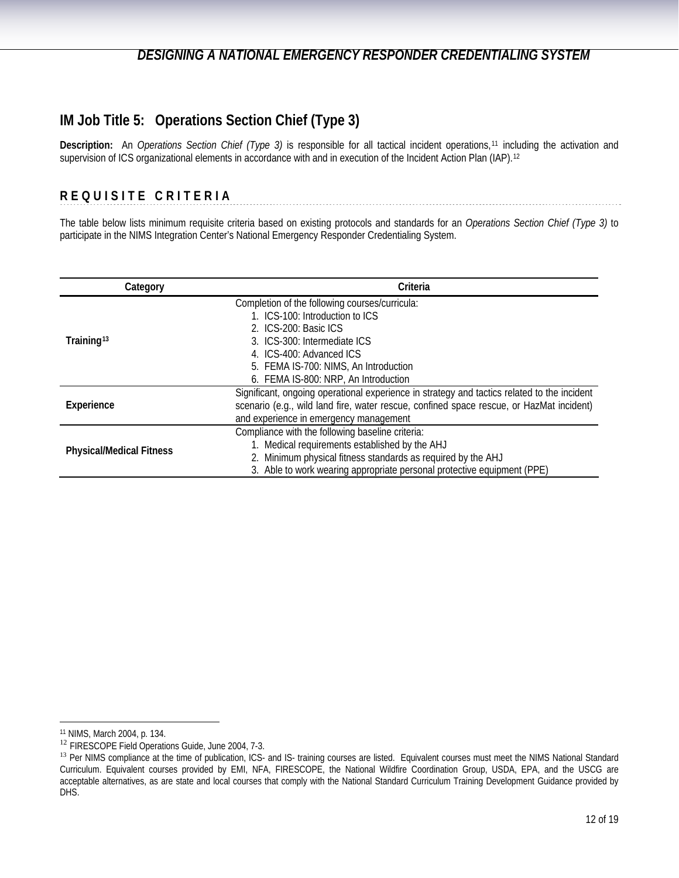# <span id="page-11-0"></span>**IM Job Title 5: Operations Section Chief (Type 3)**

**Description:** An *Operations Section Chief (Type 3)* is responsible for all tactical incident operations,[11](#page-11-1) including the activation and supervision of ICS organizational elements in accordance with and in execution of the Incident Action Plan (IAP).[12](#page-11-2)

## **REQUISITE CRITERIA**

The table below lists minimum requisite criteria based on existing protocols and standards for an *Operations Section Chief (Type 3)* to participate in the NIMS Integration Center's National Emergency Responder Credentialing System.

| Category                        | Criteria                                                                                    |
|---------------------------------|---------------------------------------------------------------------------------------------|
|                                 | Completion of the following courses/curricula:                                              |
|                                 | 1. ICS-100: Introduction to ICS                                                             |
|                                 | 2. ICS-200: Basic ICS                                                                       |
| Training <sup>13</sup>          | 3. ICS-300: Intermediate ICS                                                                |
|                                 | 4. ICS-400: Advanced ICS                                                                    |
|                                 | 5. FEMA IS-700: NIMS, An Introduction                                                       |
|                                 | 6. FEMA IS-800: NRP, An Introduction                                                        |
|                                 | Significant, ongoing operational experience in strategy and tactics related to the incident |
| Experience                      | scenario (e.g., wild land fire, water rescue, confined space rescue, or HazMat incident)    |
|                                 | and experience in emergency management                                                      |
|                                 | Compliance with the following baseline criteria:                                            |
|                                 | 1. Medical requirements established by the AHJ                                              |
| <b>Physical/Medical Fitness</b> | 2. Minimum physical fitness standards as required by the AHJ                                |
|                                 | 3. Able to work wearing appropriate personal protective equipment (PPE)                     |

<span id="page-11-2"></span><span id="page-11-1"></span><sup>&</sup>lt;sup>11</sup> NIMS, March 2004, p. 134.<br><sup>12</sup> FIRESCOPE Field Operations Guide, June 2004, 7-3.

<span id="page-11-3"></span><sup>&</sup>lt;sup>13</sup> Per NIMS compliance at the time of publication, ICS- and IS- training courses are listed. Equivalent courses must meet the NIMS National Standard Curriculum. Equivalent courses provided by EMI, NFA, FIRESCOPE, the National Wildfire Coordination Group, USDA, EPA, and the USCG are acceptable alternatives, as are state and local courses that comply with the National Standard Curriculum Training Development Guidance provided by DHS.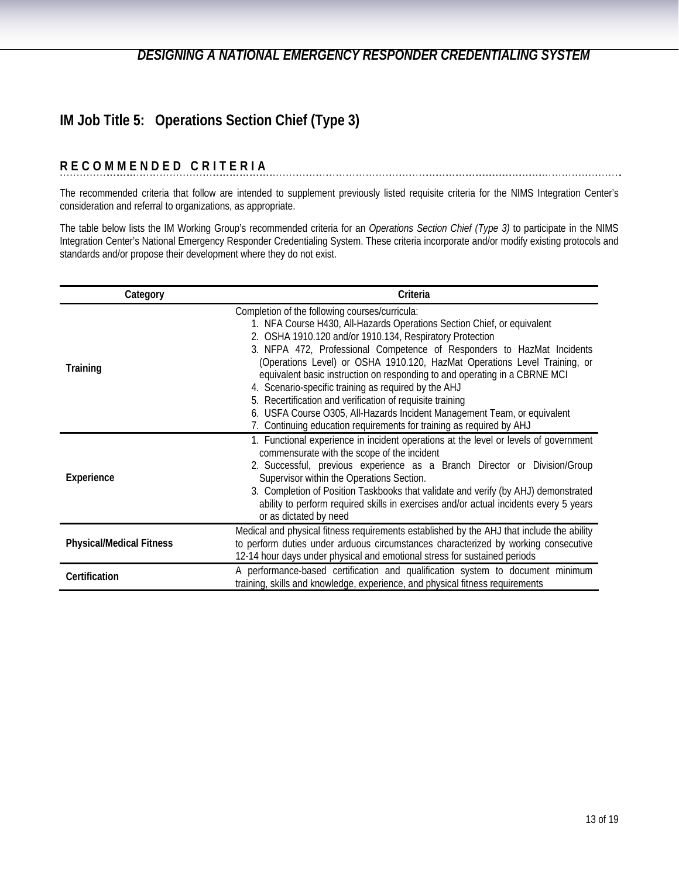# **IM Job Title 5: Operations Section Chief (Type 3)**

## **RECOMMENDED CRITERIA**

The recommended criteria that follow are intended to supplement previously listed requisite criteria for the NIMS Integration Center's consideration and referral to organizations, as appropriate.

The table below lists the IM Working Group's recommended criteria for an *Operations Section Chief (Type 3)* to participate in the NIMS Integration Center's National Emergency Responder Credentialing System. These criteria incorporate and/or modify existing protocols and standards and/or propose their development where they do not exist.

| Category                        | Criteria                                                                                                                                                                                                                                                                                                                                                                                                                                                                                                                                                                                                                                                                                            |
|---------------------------------|-----------------------------------------------------------------------------------------------------------------------------------------------------------------------------------------------------------------------------------------------------------------------------------------------------------------------------------------------------------------------------------------------------------------------------------------------------------------------------------------------------------------------------------------------------------------------------------------------------------------------------------------------------------------------------------------------------|
| Training                        | Completion of the following courses/curricula:<br>1. NFA Course H430, All-Hazards Operations Section Chief, or equivalent<br>2. OSHA 1910.120 and/or 1910.134, Respiratory Protection<br>3. NFPA 472, Professional Competence of Responders to HazMat Incidents<br>(Operations Level) or OSHA 1910.120, HazMat Operations Level Training, or<br>equivalent basic instruction on responding to and operating in a CBRNE MCI<br>4. Scenario-specific training as required by the AHJ<br>5. Recertification and verification of requisite training<br>6. USFA Course O305, All-Hazards Incident Management Team, or equivalent<br>7. Continuing education requirements for training as required by AHJ |
| Experience                      | 1. Functional experience in incident operations at the level or levels of government<br>commensurate with the scope of the incident<br>2. Successful, previous experience as a Branch Director or Division/Group<br>Supervisor within the Operations Section.<br>3. Completion of Position Taskbooks that validate and verify (by AHJ) demonstrated<br>ability to perform required skills in exercises and/or actual incidents every 5 years<br>or as dictated by need                                                                                                                                                                                                                              |
| <b>Physical/Medical Fitness</b> | Medical and physical fitness requirements established by the AHJ that include the ability<br>to perform duties under arduous circumstances characterized by working consecutive<br>12-14 hour days under physical and emotional stress for sustained periods                                                                                                                                                                                                                                                                                                                                                                                                                                        |
| Certification                   | A performance-based certification and qualification system to document minimum<br>training, skills and knowledge, experience, and physical fitness requirements                                                                                                                                                                                                                                                                                                                                                                                                                                                                                                                                     |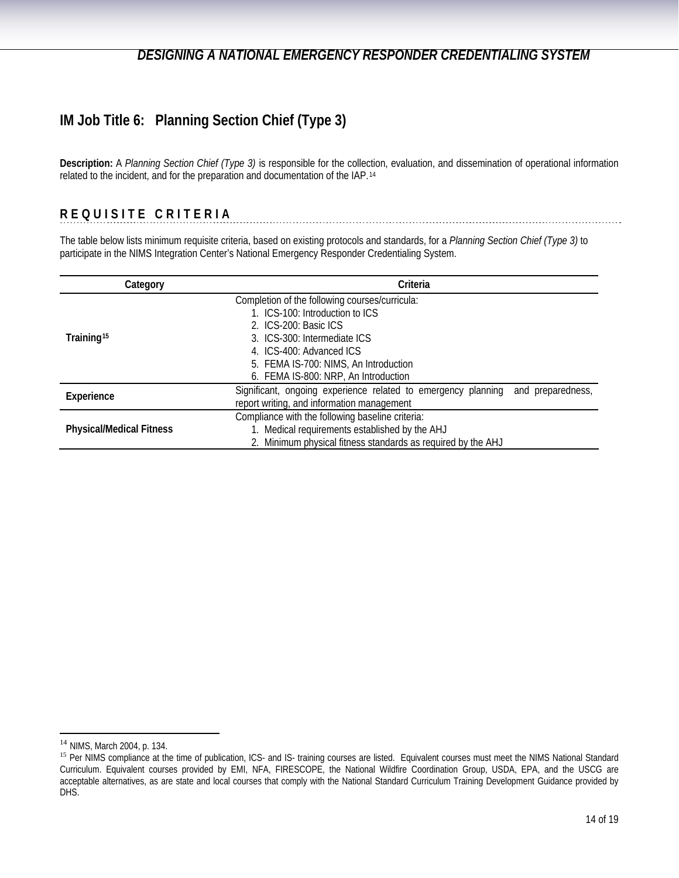# <span id="page-13-0"></span>**IM Job Title 6: Planning Section Chief (Type 3)**

**Description:** A *Planning Section Chief (Type 3)* is responsible for the collection, evaluation, and dissemination of operational information related to the incident, and for the preparation and documentation of the IAP.[14](#page-13-1)

## **REQUISITE CRITERIA**

The table below lists minimum requisite criteria, based on existing protocols and standards, for a *Planning Section Chief (Type 3)* to participate in the NIMS Integration Center's National Emergency Responder Credentialing System.

| Category                        | Criteria                                                                        |  |
|---------------------------------|---------------------------------------------------------------------------------|--|
|                                 | Completion of the following courses/curricula:                                  |  |
|                                 | 1. ICS-100: Introduction to ICS                                                 |  |
|                                 | 2. ICS-200: Basic ICS                                                           |  |
| Training <sup>15</sup>          | 3. ICS-300: Intermediate ICS                                                    |  |
|                                 | 4. ICS-400: Advanced ICS                                                        |  |
|                                 | 5. FEMA IS-700: NIMS, An Introduction                                           |  |
|                                 | 6. FEMA IS-800: NRP, An Introduction                                            |  |
| Experience                      | Significant, ongoing experience related to emergency planning and preparedness, |  |
|                                 | report writing, and information management                                      |  |
| <b>Physical/Medical Fitness</b> | Compliance with the following baseline criteria:                                |  |
|                                 | 1. Medical requirements established by the AHJ                                  |  |
|                                 | 2. Minimum physical fitness standards as required by the AHJ                    |  |

<span id="page-13-1"></span><sup>&</sup>lt;sup>14</sup> NIMS, March 2004, p. 134.

<span id="page-13-2"></span><sup>15</sup> Per NIMS compliance at the time of publication, ICS- and IS- training courses are listed. Equivalent courses must meet the NIMS National Standard Curriculum. Equivalent courses provided by EMI, NFA, FIRESCOPE, the National Wildfire Coordination Group, USDA, EPA, and the USCG are acceptable alternatives, as are state and local courses that comply with the National Standard Curriculum Training Development Guidance provided by DHS.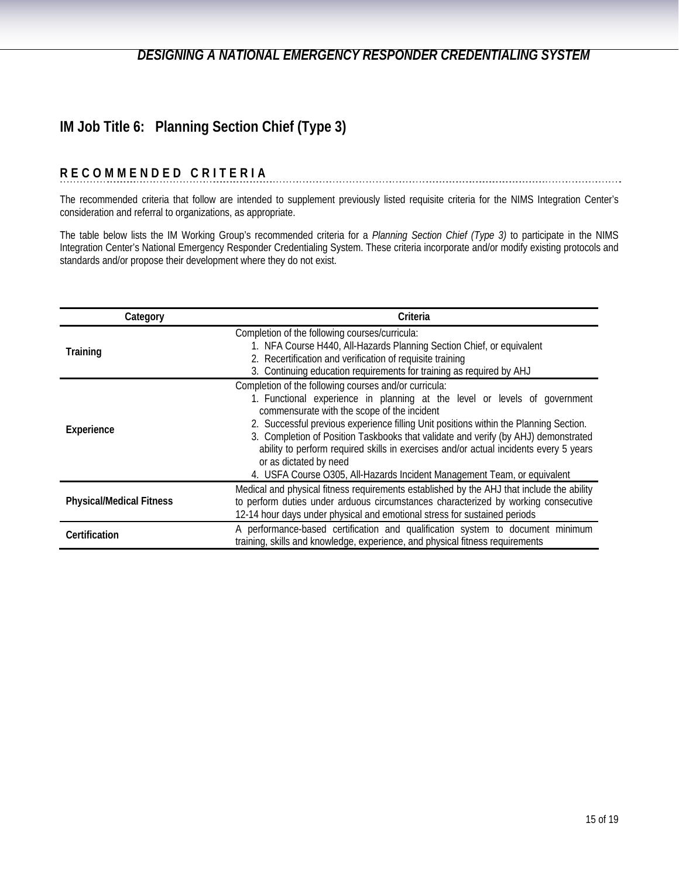# **IM Job Title 6: Planning Section Chief (Type 3)**

#### **RECOMMENDED CRITERIA**

The recommended criteria that follow are intended to supplement previously listed requisite criteria for the NIMS Integration Center's consideration and referral to organizations, as appropriate.

The table below lists the IM Working Group's recommended criteria for a *Planning Section Chief (Type 3)* to participate in the NIMS Integration Center's National Emergency Responder Credentialing System. These criteria incorporate and/or modify existing protocols and standards and/or propose their development where they do not exist.

| Category                        | Criteria                                                                                                                                                                                                                                                                                                                                                                                                                                                                                                                                                        |
|---------------------------------|-----------------------------------------------------------------------------------------------------------------------------------------------------------------------------------------------------------------------------------------------------------------------------------------------------------------------------------------------------------------------------------------------------------------------------------------------------------------------------------------------------------------------------------------------------------------|
| Training                        | Completion of the following courses/curricula:<br>1. NFA Course H440, All-Hazards Planning Section Chief, or equivalent<br>2. Recertification and verification of requisite training<br>3. Continuing education requirements for training as required by AHJ                                                                                                                                                                                                                                                                                                    |
| Experience                      | Completion of the following courses and/or curricula:<br>1. Functional experience in planning at the level or levels of government<br>commensurate with the scope of the incident<br>2. Successful previous experience filling Unit positions within the Planning Section.<br>3. Completion of Position Taskbooks that validate and verify (by AHJ) demonstrated<br>ability to perform required skills in exercises and/or actual incidents every 5 years<br>or as dictated by need<br>4. USFA Course O305, All-Hazards Incident Management Team, or equivalent |
| <b>Physical/Medical Fitness</b> | Medical and physical fitness requirements established by the AHJ that include the ability<br>to perform duties under arduous circumstances characterized by working consecutive<br>12-14 hour days under physical and emotional stress for sustained periods                                                                                                                                                                                                                                                                                                    |
| Certification                   | A performance-based certification and qualification system to document minimum<br>training, skills and knowledge, experience, and physical fitness requirements                                                                                                                                                                                                                                                                                                                                                                                                 |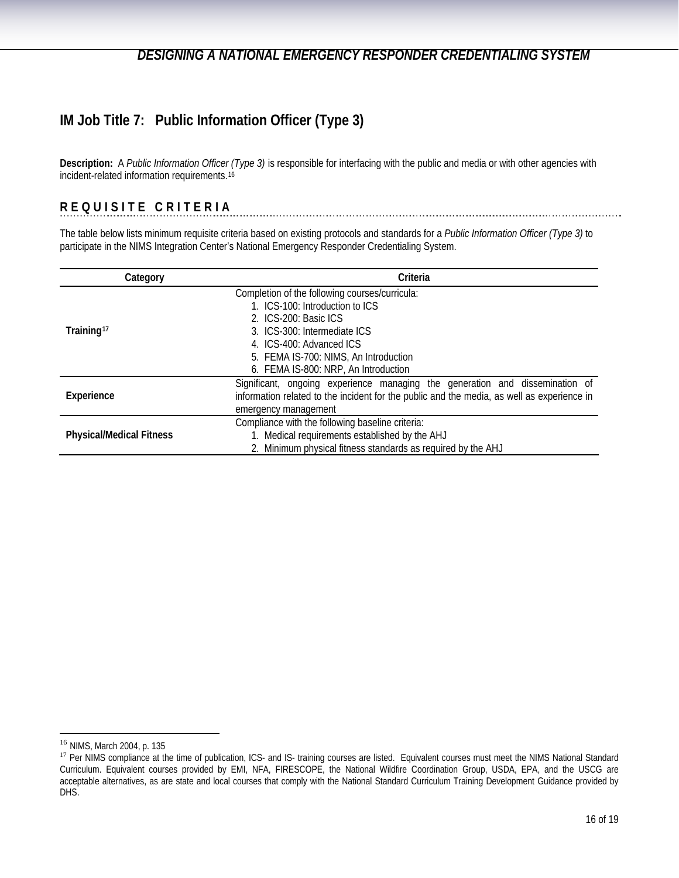# <span id="page-15-0"></span>**IM Job Title 7: Public Information Officer (Type 3)**

**Description:** A *Public Information Officer (Type 3)* is responsible for interfacing with the public and media or with other agencies with incident-related information requirements.[16](#page-15-1)

## **REQUISITE CRITERIA**

The table below lists minimum requisite criteria based on existing protocols and standards for a *Public Information Officer (Type 3)* to participate in the NIMS Integration Center's National Emergency Responder Credentialing System.

| Category                        | Criteria                                                                                   |
|---------------------------------|--------------------------------------------------------------------------------------------|
|                                 | Completion of the following courses/curricula:                                             |
|                                 | 1. ICS-100: Introduction to ICS                                                            |
|                                 | 2. ICS-200: Basic ICS                                                                      |
| Training <sup>17</sup>          | 3. ICS-300: Intermediate ICS                                                               |
|                                 | 4. ICS-400: Advanced ICS                                                                   |
|                                 | 5. FEMA IS-700: NIMS, An Introduction                                                      |
|                                 | 6. FEMA IS-800: NRP, An Introduction                                                       |
|                                 | Significant, ongoing experience managing the generation and dissemination of               |
| Experience                      | information related to the incident for the public and the media, as well as experience in |
|                                 | emergency management                                                                       |
|                                 | Compliance with the following baseline criteria:                                           |
| <b>Physical/Medical Fitness</b> | 1. Medical requirements established by the AHJ                                             |
|                                 | 2. Minimum physical fitness standards as required by the AHJ                               |

<span id="page-15-1"></span><sup>&</sup>lt;sup>16</sup> NIMS, March 2004, p. 135

<span id="page-15-2"></span><sup>17</sup> Per NIMS compliance at the time of publication, ICS- and IS- training courses are listed. Equivalent courses must meet the NIMS National Standard Curriculum. Equivalent courses provided by EMI, NFA, FIRESCOPE, the National Wildfire Coordination Group, USDA, EPA, and the USCG are acceptable alternatives, as are state and local courses that comply with the National Standard Curriculum Training Development Guidance provided by DHS.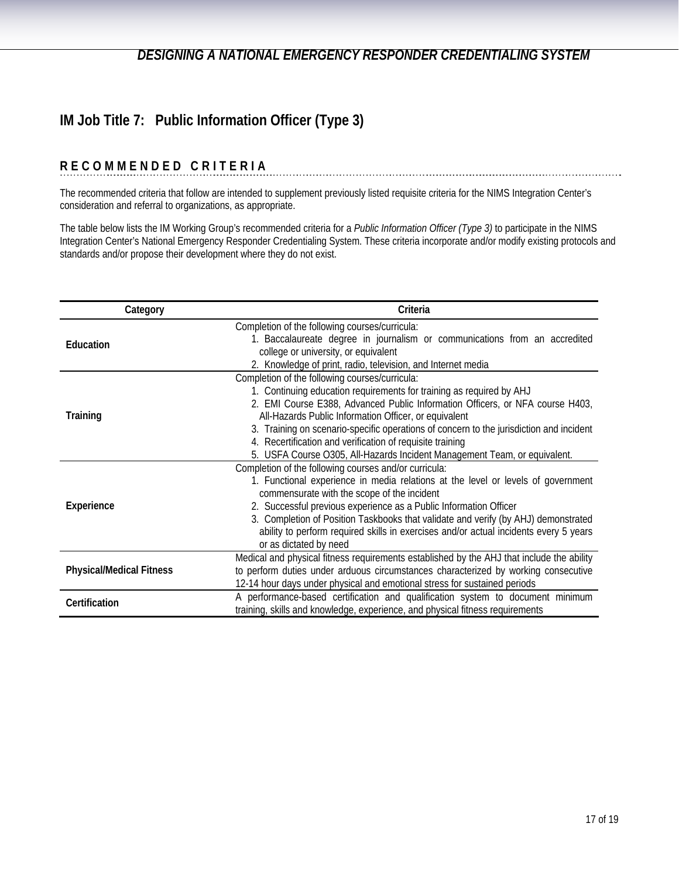# **IM Job Title 7: Public Information Officer (Type 3)**

# **RECOMMENDED CRITERIA**

The recommended criteria that follow are intended to supplement previously listed requisite criteria for the NIMS Integration Center's consideration and referral to organizations, as appropriate.

The table below lists the IM Working Group's recommended criteria for a *Public Information Officer (Type 3)* to participate in the NIMS Integration Center's National Emergency Responder Credentialing System. These criteria incorporate and/or modify existing protocols and standards and/or propose their development where they do not exist.

| Category                        | Criteria                                                                                                                        |
|---------------------------------|---------------------------------------------------------------------------------------------------------------------------------|
| Education                       | Completion of the following courses/curricula:<br>1. Baccalaureate degree in journalism or communications from an accredited    |
|                                 | college or university, or equivalent<br>2. Knowledge of print, radio, television, and Internet media                            |
|                                 | Completion of the following courses/curricula:                                                                                  |
|                                 | 1. Continuing education requirements for training as required by AHJ                                                            |
|                                 | 2. EMI Course E388, Advanced Public Information Officers, or NFA course H403,                                                   |
| Training                        | All-Hazards Public Information Officer, or equivalent                                                                           |
|                                 | 3. Training on scenario-specific operations of concern to the jurisdiction and incident                                         |
|                                 | 4. Recertification and verification of requisite training                                                                       |
|                                 | 5. USFA Course O305, All-Hazards Incident Management Team, or equivalent.                                                       |
|                                 | Completion of the following courses and/or curricula:                                                                           |
|                                 | 1. Functional experience in media relations at the level or levels of government<br>commensurate with the scope of the incident |
| Experience                      | 2. Successful previous experience as a Public Information Officer                                                               |
|                                 | 3. Completion of Position Taskbooks that validate and verify (by AHJ) demonstrated                                              |
|                                 | ability to perform required skills in exercises and/or actual incidents every 5 years                                           |
|                                 | or as dictated by need                                                                                                          |
|                                 | Medical and physical fitness requirements established by the AHJ that include the ability                                       |
| <b>Physical/Medical Fitness</b> | to perform duties under arduous circumstances characterized by working consecutive                                              |
|                                 | 12-14 hour days under physical and emotional stress for sustained periods                                                       |
| Certification                   | A performance-based certification and qualification system to document minimum                                                  |
|                                 | training, skills and knowledge, experience, and physical fitness requirements                                                   |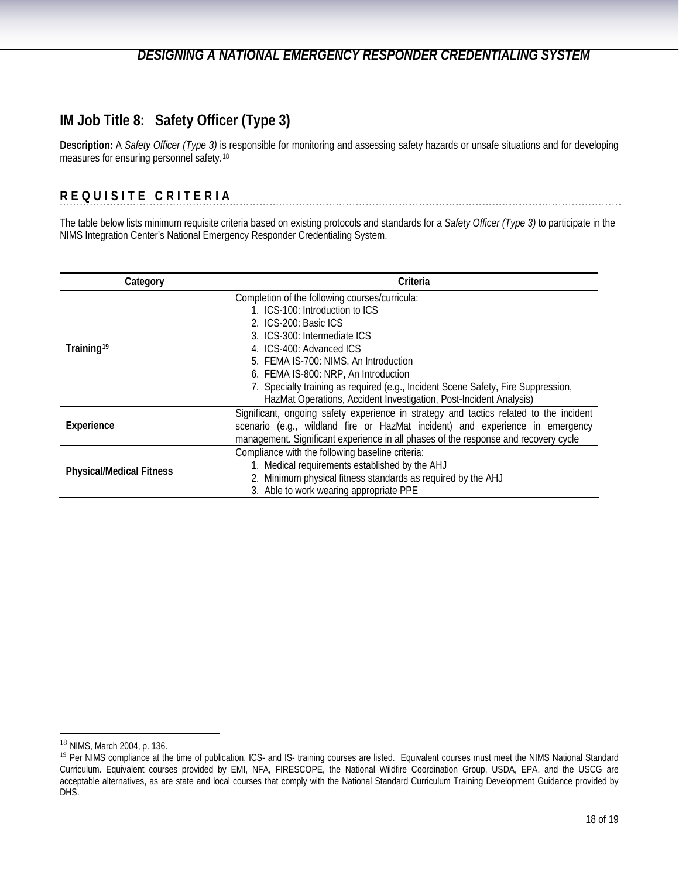## <span id="page-17-0"></span>**IM Job Title 8: Safety Officer (Type 3)**

**Description:** A *Safety Officer (Type 3)* is responsible for monitoring and assessing safety hazards or unsafe situations and for developing measures for ensuring personnel safety.[18](#page-17-1)

## **REQUISITE CRITERIA**

The table below lists minimum requisite criteria based on existing protocols and standards for a *Safety Officer (Type 3)* to participate in the NIMS Integration Center's National Emergency Responder Credentialing System.

| Category                        | Criteria                                                                               |
|---------------------------------|----------------------------------------------------------------------------------------|
|                                 | Completion of the following courses/curricula:                                         |
|                                 | 1. ICS-100: Introduction to ICS                                                        |
|                                 | 2. ICS-200: Basic ICS                                                                  |
|                                 | 3. ICS-300: Intermediate ICS                                                           |
| Training <sup>19</sup>          | 4. ICS-400: Advanced ICS                                                               |
|                                 | 5. FEMA IS-700: NIMS, An Introduction                                                  |
|                                 | 6. FEMA IS-800: NRP, An Introduction                                                   |
|                                 | 7. Specialty training as required (e.g., Incident Scene Safety, Fire Suppression,      |
|                                 | HazMat Operations, Accident Investigation, Post-Incident Analysis)                     |
|                                 | Significant, ongoing safety experience in strategy and tactics related to the incident |
| Experience                      | scenario (e.g., wildland fire or HazMat incident) and experience in emergency          |
|                                 | management. Significant experience in all phases of the response and recovery cycle    |
|                                 | Compliance with the following baseline criteria:                                       |
| <b>Physical/Medical Fitness</b> | 1. Medical requirements established by the AHJ                                         |
|                                 | 2. Minimum physical fitness standards as required by the AHJ                           |
|                                 | 3. Able to work wearing appropriate PPE                                                |

<span id="page-17-1"></span><sup>&</sup>lt;sup>18</sup> NIMS, March 2004, p. 136.

<span id="page-17-2"></span><sup>19</sup> Per NIMS compliance at the time of publication, ICS- and IS- training courses are listed. Equivalent courses must meet the NIMS National Standard Curriculum. Equivalent courses provided by EMI, NFA, FIRESCOPE, the National Wildfire Coordination Group, USDA, EPA, and the USCG are acceptable alternatives, as are state and local courses that comply with the National Standard Curriculum Training Development Guidance provided by DHS.